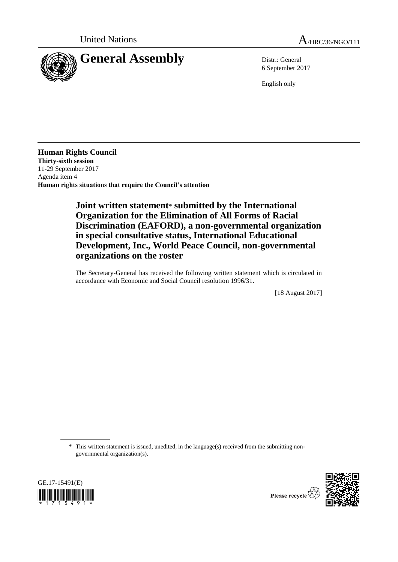



6 September 2017

English only

**Human Rights Council Thirty-sixth session** 11-29 September 2017 Agenda item 4 **Human rights situations that require the Council's attention**

## **Joint written statement**\* **submitted by the International Organization for the Elimination of All Forms of Racial Discrimination (EAFORD), a non-governmental organization in special consultative status, International Educational Development, Inc., World Peace Council, non-governmental organizations on the roster**

The Secretary-General has received the following written statement which is circulated in accordance with Economic and Social Council resolution 1996/31.

[18 August 2017]

\* This written statement is issued, unedited, in the language(s) received from the submitting nongovernmental organization(s).





Please recycle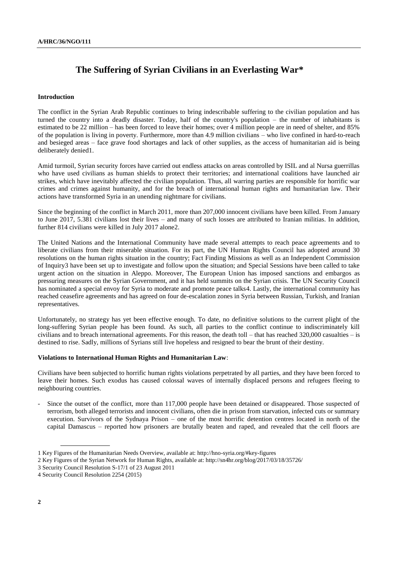# **The Suffering of Syrian Civilians in an Everlasting War\***

### **Introduction**

The conflict in the Syrian Arab Republic continues to bring indescribable suffering to the civilian population and has turned the country into a deadly disaster. Today, half of the country's population – the number of inhabitants is estimated to be 22 million – has been forced to leave their homes; over 4 million people are in need of shelter, and 85% of the population is living in poverty. Furthermore, more than 4.9 million civilians – who live confined in hard-to-reach and besieged areas – face grave food shortages and lack of other supplies, as the access of humanitarian aid is being deliberately denied1.

Amid turmoil, Syrian security forces have carried out endless attacks on areas controlled by ISIL and al Nursa guerrillas who have used civilians as human shields to protect their territories; and international coalitions have launched air strikes, which have inevitably affected the civilian population. Thus, all warring parties are responsible for horrific war crimes and crimes against humanity, and for the breach of international human rights and humanitarian law. Their actions have transformed Syria in an unending nightmare for civilians.

Since the beginning of the conflict in March 2011, more than 207,000 innocent civilians have been killed. From January to June 2017, 5.381 civilians lost their lives – and many of such losses are attributed to Iranian militias. In addition, further 814 civilians were killed in July 2017 alone2.

The United Nations and the International Community have made several attempts to reach peace agreements and to liberate civilians from their miserable situation. For its part, the UN Human Rights Council has adopted around 30 resolutions on the human rights situation in the country; Fact Finding Missions as well as an Independent Commission of Inquiry3 have been set up to investigate and follow upon the situation; and Special Sessions have been called to take urgent action on the situation in Aleppo. Moreover, The European Union has imposed sanctions and embargos as pressuring measures on the Syrian Government, and it has held summits on the Syrian crisis. The UN Security Council has nominated a special envoy for Syria to moderate and promote peace talks4. Lastly, the international community has reached ceasefire agreements and has agreed on four de-escalation zones in Syria between Russian, Turkish, and Iranian representatives.

Unfortunately, no strategy has yet been effective enough. To date, no definitive solutions to the current plight of the long-suffering Syrian people has been found. As such, all parties to the conflict continue to indiscriminately kill civilians and to breach international agreements. For this reason, the death toll – that has reached 320,000 casualties – is destined to rise. Sadly, millions of Syrians still live hopeless and resigned to bear the brunt of their destiny.

### **Violations to International Human Rights and Humanitarian Law**:

Civilians have been subjected to horrific human rights violations perpetrated by all parties, and they have been forced to leave their homes. Such exodus has caused colossal waves of internally displaced persons and refugees fleeing to neighbouring countries.

Since the outset of the conflict, more than 117,000 people have been detained or disappeared. Those suspected of terrorism, both alleged terrorists and innocent civilians, often die in prison from starvation, infected cuts or summary execution. Survivors of the Sydnaya Prison – one of the most horrific detention centres located in north of the capital Damascus – reported how prisoners are brutally beaten and raped, and revealed that the cell floors are

<sup>1</sup> Key Figures of the Humanitarian Needs Overview, available at: http://hno-syria.org/#key-figures

<sup>2</sup> Key Figures of the Syrian Network for Human Rights, available at: http://sn4hr.org/blog/2017/03/18/35726/

<sup>3</sup> Security Council Resolution S-17/1 of 23 August 2011

<sup>4</sup> Security Council Resolution 2254 (2015)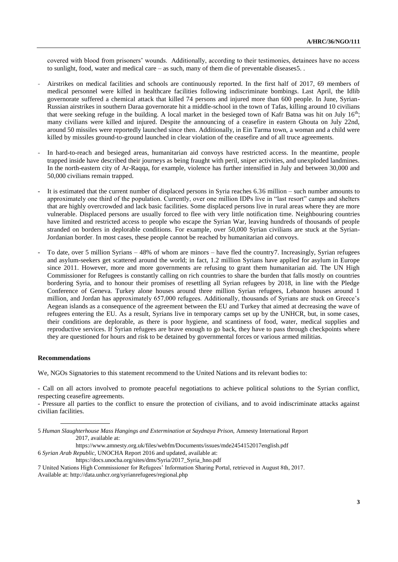covered with blood from prisoners' wounds. Additionally, according to their testimonies, detainees have no access to sunlight, food, water and medical care – as such, many of them die of preventable diseases5. .

- Airstrikes on medical facilities and schools are continuously reported. In the first half of 2017, 69 members of medical personnel were killed in healthcare facilities following indiscriminate bombings. Last April, the Idlib governorate suffered a chemical attack that killed 74 persons and injured more than 600 people. In June, Syrian-Russian airstrikes in southern Daraa governorate hit a middle-school in the town of Tafas, killing around 10 civilians that were seeking refuge in the building. A local market in the besieged town of Kafr Batna was hit on July  $16<sup>th</sup>$ ; many civilians were killed and injured. Despite the announcing of a ceasefire in eastern Ghouta on July 22nd, around 50 missiles were reportedly launched since then. Additionally, in Ein Tarma town, a woman and a child were killed by missiles ground-to-ground launched in clear violation of the ceasefire and of all truce agreements.
- In hard-to-reach and besieged areas, humanitarian aid convoys have restricted access. In the meantime, people trapped inside have described their journeys as being fraught with peril, sniper activities, and unexploded landmines. In the north-eastern city of Ar-Raqqa, for example, violence has further intensified in July and between 30,000 and 50,000 civilians remain trapped.
- It is estimated that the current number of displaced persons in Syria reaches 6.36 million such number amounts to approximately one third of the population. Currently, over one million IDPs live in "last resort" camps and shelters that are highly overcrowded and lack basic facilities. Some displaced persons live in rural areas where they are more vulnerable. Displaced persons are usually forced to flee with very little notification time. Neighbouring countries have limited and restricted access to people who escape the Syrian War, leaving hundreds of thousands of people stranded on borders in deplorable conditions. For example, over 50,000 Syrian civilians are stuck at the Syrian-Jordanian border. In most cases, these people cannot be reached by humanitarian aid convoys.
- To date, over 5 million Syrians 48% of whom are minors have fled the country7. Increasingly, Syrian refugees and asylum-seekers get scattered around the world; in fact, 1.2 million Syrians have applied for asylum in Europe since 2011. However, more and more governments are refusing to grant them humanitarian aid. The UN High Commissioner for Refugees is constantly calling on rich countries to share the burden that falls mostly on countries bordering Syria, and to honour their promises of resettling all Syrian refugees by 2018, in line with the Pledge Conference of Geneva. Turkey alone houses around three million Syrian refugees, Lebanon houses around 1 million, and [Jordan](https://www.theguardian.com/world/jordan) has approximately 657,000 refugees. Additionally, thousands of Syrians are stuck on Greece's Aegean islands as a consequence of the agreement between the EU and Turkey that aimed at decreasing the wave of refugees entering the EU. As a result, Syrians live in temporary camps set up by the UNHCR, but, in some cases, their conditions are deplorable, as there is poor hygiene, and scantiness of food, water, medical supplies and reproductive services. If Syrian refugees are brave enough to go back, they have to pass through checkpoints where they are questioned for hours and risk to be detained by governmental forces or various armed militias.

### **Recommendations**

We, NGOs Signatories to this statement recommend to the United Nations and its relevant bodies to:

- Call on all actors involved to promote peaceful negotiations to achieve political solutions to the Syrian conflict, respecting ceasefire agreements.

- Pressure all parties to the conflict to ensure the protection of civilians, and to avoid indiscriminate attacks against civilian facilities.

https://www.amnesty.org.uk/files/webfm/Documents/issues/mde2454152017english.pdf

6 *Syrian Arab Republic,* UNOCHA Report 2016 and updated, available at:

https://docs.unocha.org/sites/dms/Syria/2017\_Syria\_hno.pdf

<sup>5</sup> *Human Slaughterhouse Mass Hangings and Extermination at Saydnaya Prison,* Amnesty International Report 2017, available at:

<sup>7</sup> United Nations High Commissioner for Refugees' Information Sharing Portal, retrieved in August 8th, 2017. Available at: http://data.unhcr.org/syrianrefugees/regional.php